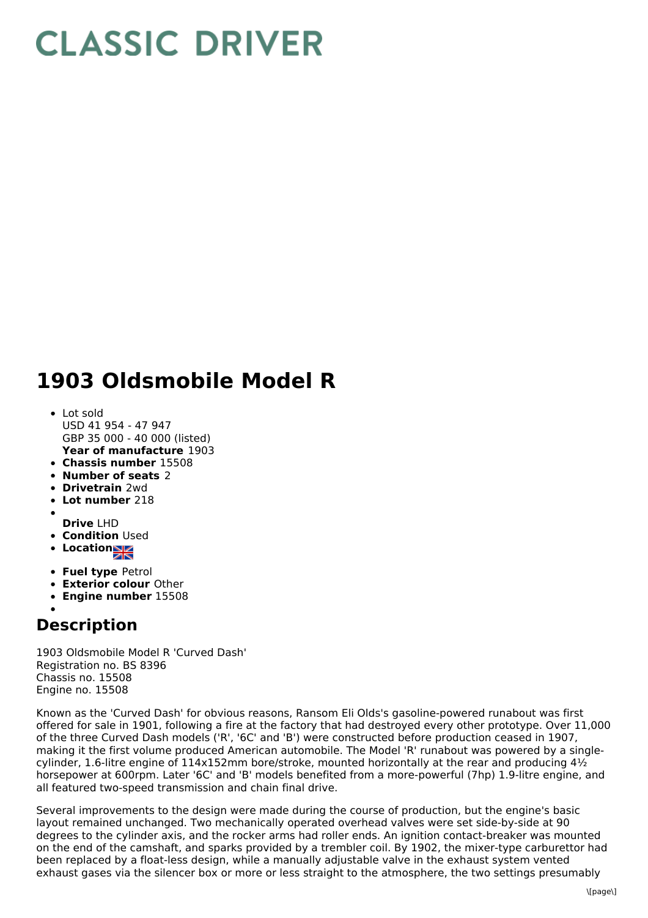## **CLASSIC DRIVER**

## **1903 Oldsmobile Model R**

- **Year of manufacture** 1903 Lot sold USD 41 954 - 47 947 GBP 35 000 - 40 000 (listed)
- **Chassis number** 15508
- **Number of seats** 2
- **Drivetrain** 2wd
- **Lot number** 218
- **Drive** LHD
- **Condition** Used
- Location<sub>al</sub>
- 
- **Fuel type** Petrol
- **Exterior colour** Other **Engine number** 15508
- 

## **Description**

1903 Oldsmobile Model R 'Curved Dash' Registration no. BS 8396 Chassis no. 15508 Engine no. 15508

Known as the 'Curved Dash' for obvious reasons, Ransom Eli Olds's gasoline-powered runabout was first offered for sale in 1901, following a fire at the factory that had destroyed every other prototype. Over 11,000 of the three Curved Dash models ('R', '6C' and 'B') were constructed before production ceased in 1907, making it the first volume produced American automobile. The Model 'R' runabout was powered by a singlecylinder, 1.6-litre engine of 114x152mm bore/stroke, mounted horizontally at the rear and producing  $4\frac{1}{2}$ horsepower at 600rpm. Later '6C' and 'B' models benefited from a more-powerful (7hp) 1.9-litre engine, and all featured two-speed transmission and chain final drive.

Several improvements to the design were made during the course of production, but the engine's basic layout remained unchanged. Two mechanically operated overhead valves were set side-by-side at 90 degrees to the cylinder axis, and the rocker arms had roller ends. An ignition contact-breaker was mounted on the end of the camshaft, and sparks provided by a trembler coil. By 1902, the mixer-type carburettor had been replaced by a float-less design, while a manually adjustable valve in the exhaust system vented exhaust gases via the silencer box or more or less straight to the atmosphere, the two settings presumably